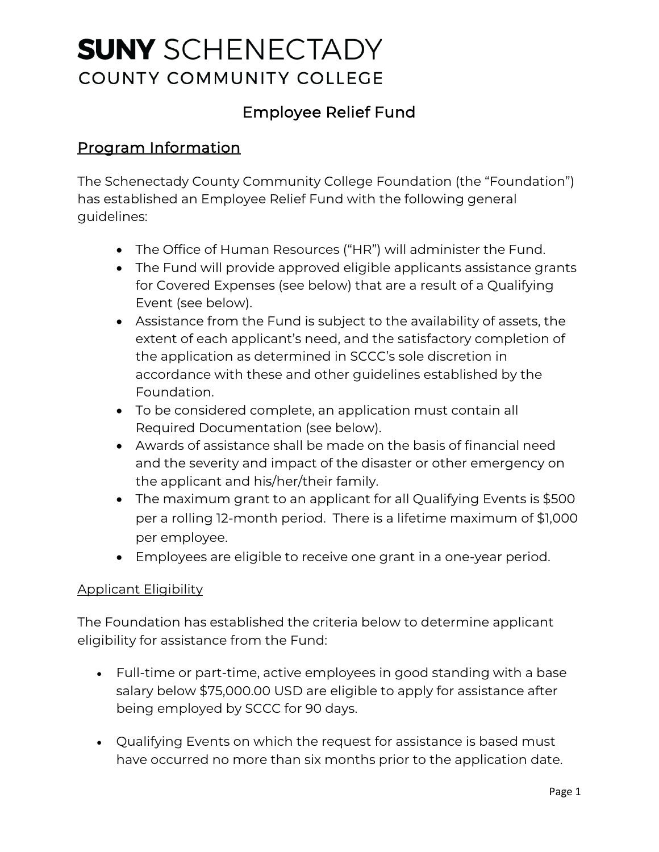# **SUNV** SCHENECTADY COUNTY COMMUNITY COLLEGE

## Employee Relief Fund

## Program Information

The Schenectady County Community College Foundation (the "Foundation") has established an Employee Relief Fund with the following general guidelines:

- The Office of Human Resources ("HR") will administer the Fund.
- The Fund will provide approved eligible applicants assistance grants for Covered Expenses (see below) that are a result of a Qualifying Event (see below).
- Assistance from the Fund is subject to the availability of assets, the extent of each applicant's need, and the satisfactory completion of the application as determined in SCCC's sole discretion in accordance with these and other guidelines established by the Foundation.
- To be considered complete, an application must contain all Required Documentation (see below).
- Awards of assistance shall be made on the basis of financial need and the severity and impact of the disaster or other emergency on the applicant and his/her/their family.
- per a rolling 12-month period. There is a lifetime maximum of \$1,000 • The maximum grant to an applicant for all Qualifying Events is \$500 per employee.
- Employees are eligible to receive one grant in a one-year period.

#### Applicant Eligibility

The Foundation has established the criteria below to determine applicant eligibility for assistance from the Fund:

- Full-time or part-time, active employees in good standing with a base salary below \$[75,000.00](https://75,000.00) USD are eligible to apply for assistance after being employed by SCCC for 90 days.
- Qualifying Events on which the request for assistance is based must have occurred no more than six months prior to the application date.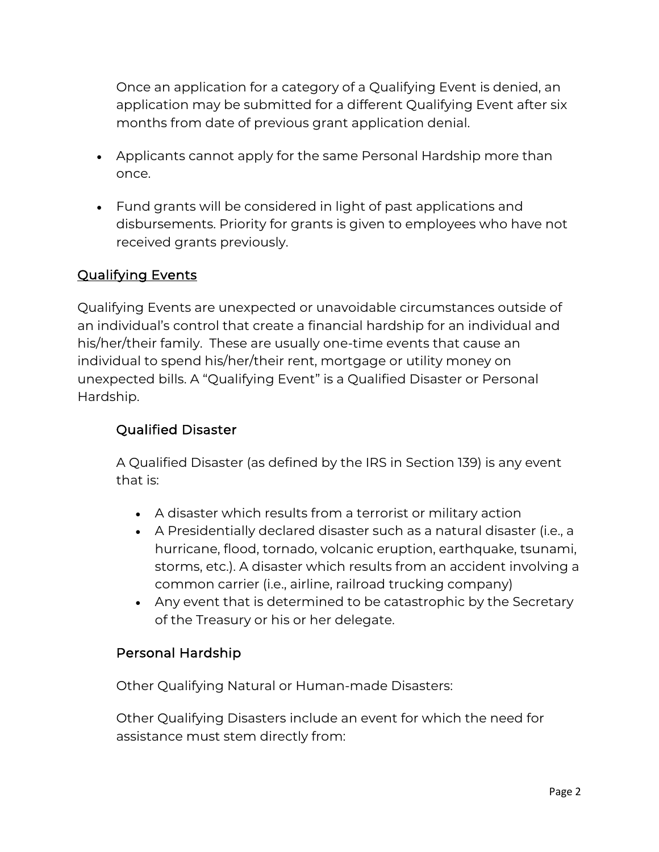Once an application for a category of a Qualifying Event is denied, an application may be submitted for a different Qualifying Event after six months from date of previous grant application denial.

- Applicants cannot apply for the same Personal Hardship more than once.
- • Fund grants will be considered in light of past applications and disbursements. Priority for grants is given to employees who have not received grants previously.

#### Qualifying Events

 his/her/their family. These are usually one-time events that cause an Qualifying Events are unexpected or unavoidable circumstances outside of an individual's control that create a financial hardship for an individual and individual to spend his/her/their rent, mortgage or utility money on unexpected bills. A "Qualifying Event" is a Qualified Disaster or Personal Hardship.

#### Qualified Disaster

A Qualified Disaster (as defined by the IRS in Section 139) is any event that is:

- A disaster which results from a terrorist or military action
- A Presidentially declared disaster such as a natural disaster (i.e., a hurricane, flood, tornado, volcanic eruption, earthquake, tsunami, storms, etc.). A disaster which results from an accident involving a common carrier (i.e., airline, railroad trucking company)
- Any event that is determined to be catastrophic by the Secretary of the Treasury or his or her delegate.

#### Personal Hardship

Other Qualifying Natural or Human-made Disasters:

Other Qualifying Disasters include an event for which the need for assistance must stem directly from: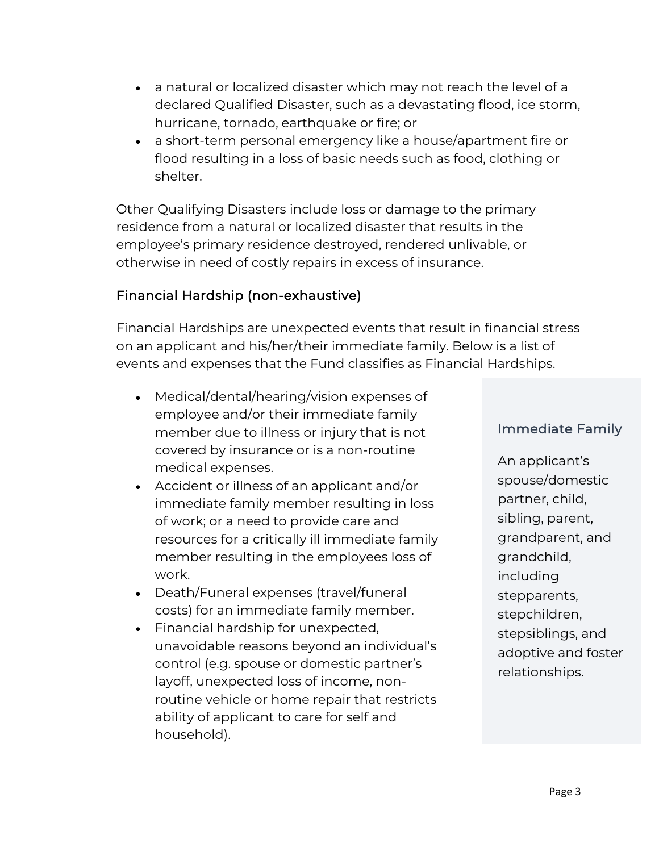- a natural or localized disaster which may not reach the level of a declared Qualified Disaster, such as a devastating flood, ice storm, hurricane, tornado, earthquake or fire; or
- a short-term personal emergency like a house/apartment fire or flood resulting in a loss of basic needs such as food, clothing or shelter.

Other Qualifying Disasters include loss or damage to the primary residence from a natural or localized disaster that results in the employee's primary residence destroyed, rendered unlivable, or otherwise in need of costly repairs in excess of insurance.

#### Financial Hardship (non-exhaustive)

Financial Hardships are unexpected events that result in financial stress on an applicant and his/her/their immediate family. Below is a list of events and expenses that the Fund classifies as Financial Hardships.

- Medical/dental/hearing/vision expenses of employee and/or their immediate family member due to illness or injury that is not covered by insurance or is a non-routine medical expenses.
- Accident or illness of an applicant and/or immediate family member resulting in loss of work; or a need to provide care and resources for a critically ill immediate family member resulting in the employees loss of work.
- Death/Funeral expenses (travel/funeral costs) for an immediate family member.
- Financial hardship for unexpected, unavoidable reasons beyond an individual's control (e.g. spouse or domestic partner's layoff, unexpected loss of income, nonroutine vehicle or home repair that restricts ability of applicant to care for self and household).

#### Immediate Family

An applicant's spouse/domestic partner, child, sibling, parent, grandparent, and grandchild, including stepparents, stepchildren, stepsiblings, and adoptive and foster relationships.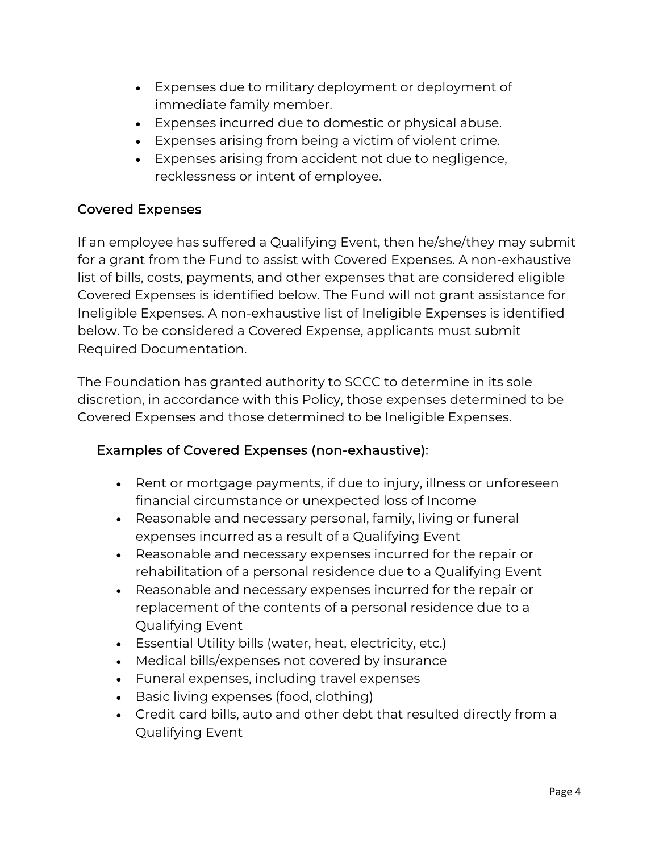- Expenses due to military deployment or deployment of immediate family member.
- Expenses incurred due to domestic or physical abuse.
- Expenses arising from being a victim of violent crime.
- Expenses arising from accident not due to negligence, recklessness or intent of employee.

## Covered Expenses

If an employee has suffered a Qualifying Event, then he/she/they may submit for a grant from the Fund to assist with Covered Expenses. A non-exhaustive list of bills, costs, payments, and other expenses that are considered eligible Covered Expenses is identified below. The Fund will not grant assistance for Ineligible Expenses. A non-exhaustive list of Ineligible Expenses is identified below. To be considered a Covered Expense, applicants must submit Required Documentation.

The Foundation has granted authority to SCCC to determine in its sole discretion, in accordance with this Policy, those expenses determined to be Covered Expenses and those determined to be Ineligible Expenses.

## Examples of Covered Expenses (non-exhaustive):

- Rent or mortgage payments, if due to injury, illness or unforeseen financial circumstance or unexpected loss of Income
- Reasonable and necessary personal, family, living or funeral expenses incurred as a result of a Qualifying Event
- Reasonable and necessary expenses incurred for the repair or rehabilitation of a personal residence due to a Qualifying Event
- • Reasonable and necessary expenses incurred for the repair or replacement of the contents of a personal residence due to a Qualifying Event
- Essential Utility bills (water, heat, electricity, etc.)
- Medical bills/expenses not covered by insurance
- Funeral expenses, including travel expenses
- Basic living expenses (food, clothing)
- Credit card bills, auto and other debt that resulted directly from a Qualifying Event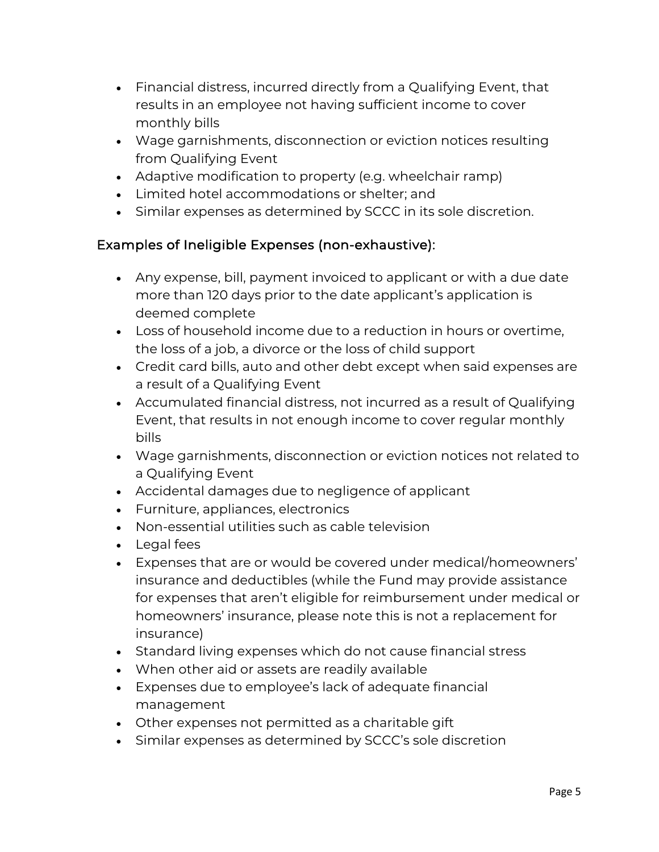- Financial distress, incurred directly from a Qualifying Event, that results in an employee not having sufficient income to cover monthly bills
- Wage garnishments, disconnection or eviction notices resulting from Qualifying Event
- Adaptive modification to property (e.g. wheelchair ramp)
- Limited hotel accommodations or shelter; and
- Similar expenses as determined by SCCC in its sole discretion.

## Examples of Ineligible Expenses (non-exhaustive):

- Any expense, bill, payment invoiced to applicant or with a due date more than 120 days prior to the date applicant's application is deemed complete
- Loss of household income due to a reduction in hours or overtime, the loss of a job, a divorce or the loss of child support
- Credit card bills, auto and other debt except when said expenses are a result of a Qualifying Event
- Event, that results in not enough income to cover regular monthly • Accumulated financial distress, not incurred as a result of Qualifying bills
- Wage garnishments, disconnection or eviction notices not related to a Qualifying Event
- Accidental damages due to negligence of applicant
- Furniture, appliances, electronics
- Non-essential utilities such as cable television
- Legal fees
- Expenses that are or would be covered under medical/homeowners' insurance and deductibles (while the Fund may provide assistance for expenses that aren't eligible for reimbursement under medical or homeowners' insurance, please note this is not a replacement for insurance)
- Standard living expenses which do not cause financial stress
- When other aid or assets are readily available
- Expenses due to employee's lack of adequate financial management
- Other expenses not permitted as a charitable gift
- Similar expenses as determined by SCCC's sole discretion